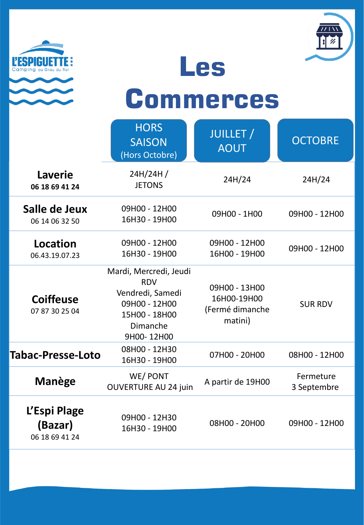



**Les** 

## **Commerces**

|                                           | <b>HORS</b><br><b>SAISON</b><br>(Hors Octobre)                                                                       | <b>JUILLET</b> /<br><b>AOUT</b>                            | <b>OCTOBRE</b>           |
|-------------------------------------------|----------------------------------------------------------------------------------------------------------------------|------------------------------------------------------------|--------------------------|
| <b>Laverie</b><br>06 18 69 41 24          | 24H/24H/<br><b>JETONS</b>                                                                                            | 24H/24                                                     | 24H/24                   |
| Salle de Jeux<br>06 14 06 32 50           | 09H00 - 12H00<br>16H30 - 19H00                                                                                       | 09H00 - 1H00                                               | 09H00 - 12H00            |
| <b>Location</b><br>06.43.19.07.23         | 09H00 - 12H00<br>16H30 - 19H00                                                                                       | 09H00 - 12H00<br>16H00 - 19H00                             | 09H00 - 12H00            |
| <b>Coiffeuse</b><br>07 87 30 25 04        | Mardi, Mercredi, Jeudi<br><b>RDV</b><br>Vendredi, Samedi<br>09H00 - 12H00<br>15H00 - 18H00<br>Dimanche<br>9H00-12H00 | 09H00 - 13H00<br>16H00-19H00<br>(Fermé dimanche<br>matini) | <b>SUR RDV</b>           |
| Tabac-Presse-Loto                         | 08H00 - 12H30<br>16H30 - 19H00                                                                                       | 07H00 - 20H00                                              | 08H00 - 12H00            |
| Manège                                    | WE/PONT<br><b>OUVERTURE AU 24 juin</b>                                                                               | A partir de 19H00                                          | Fermeture<br>3 Septembre |
| L'Espi Plage<br>(Bazar)<br>06 18 69 41 24 | 09H00 - 12H30<br>16H30 - 19H00                                                                                       | 08H00 - 20H00                                              | 09H00 - 12H00            |